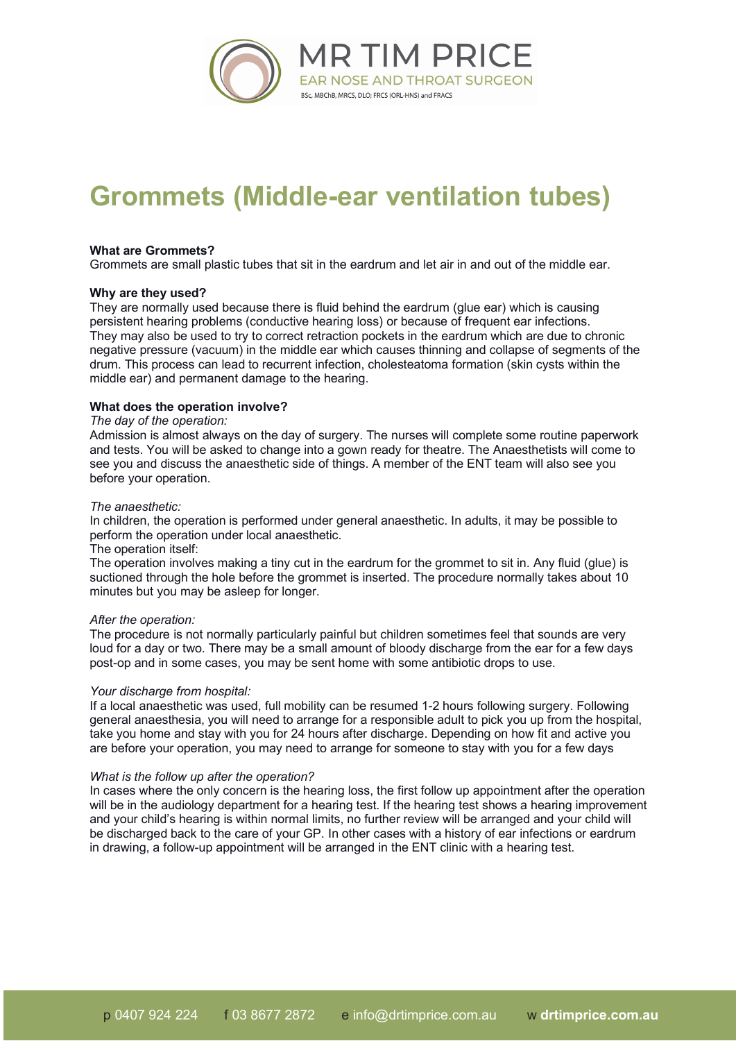

# **Grommets (Middle-ear ventilation tubes)**

### **What are Grommets?**

Grommets are small plastic tubes that sit in the eardrum and let air in and out of the middle ear.

### **Why are they used?**

They are normally used because there is fluid behind the eardrum (glue ear) which is causing persistent hearing problems (conductive hearing loss) or because of frequent ear infections. They may also be used to try to correct retraction pockets in the eardrum which are due to chronic negative pressure (vacuum) in the middle ear which causes thinning and collapse of segments of the drum. This process can lead to recurrent infection, cholesteatoma formation (skin cysts within the middle ear) and permanent damage to the hearing.

## **What does the operation involve?**

### *The day of the operation:*

Admission is almost always on the day of surgery. The nurses will complete some routine paperwork and tests. You will be asked to change into a gown ready for theatre. The Anaesthetists will come to see you and discuss the anaesthetic side of things. A member of the ENT team will also see you before your operation.

### *The anaesthetic:*

In children, the operation is performed under general anaesthetic. In adults, it may be possible to perform the operation under local anaesthetic.

### The operation itself:

The operation involves making a tiny cut in the eardrum for the grommet to sit in. Any fluid (glue) is suctioned through the hole before the grommet is inserted. The procedure normally takes about 10 minutes but you may be asleep for longer.

### *After the operation:*

The procedure is not normally particularly painful but children sometimes feel that sounds are very loud for a day or two. There may be a small amount of bloody discharge from the ear for a few days post-op and in some cases, you may be sent home with some antibiotic drops to use.

### *Your discharge from hospital:*

If a local anaesthetic was used, full mobility can be resumed 1-2 hours following surgery. Following general anaesthesia, you will need to arrange for a responsible adult to pick you up from the hospital, take you home and stay with you for 24 hours after discharge. Depending on how fit and active you are before your operation, you may need to arrange for someone to stay with you for a few days

### *What is the follow up after the operation?*

In cases where the only concern is the hearing loss, the first follow up appointment after the operation will be in the audiology department for a hearing test. If the hearing test shows a hearing improvement and your child's hearing is within normal limits, no further review will be arranged and your child will be discharged back to the care of your GP. In other cases with a history of ear infections or eardrum in drawing, a follow-up appointment will be arranged in the ENT clinic with a hearing test.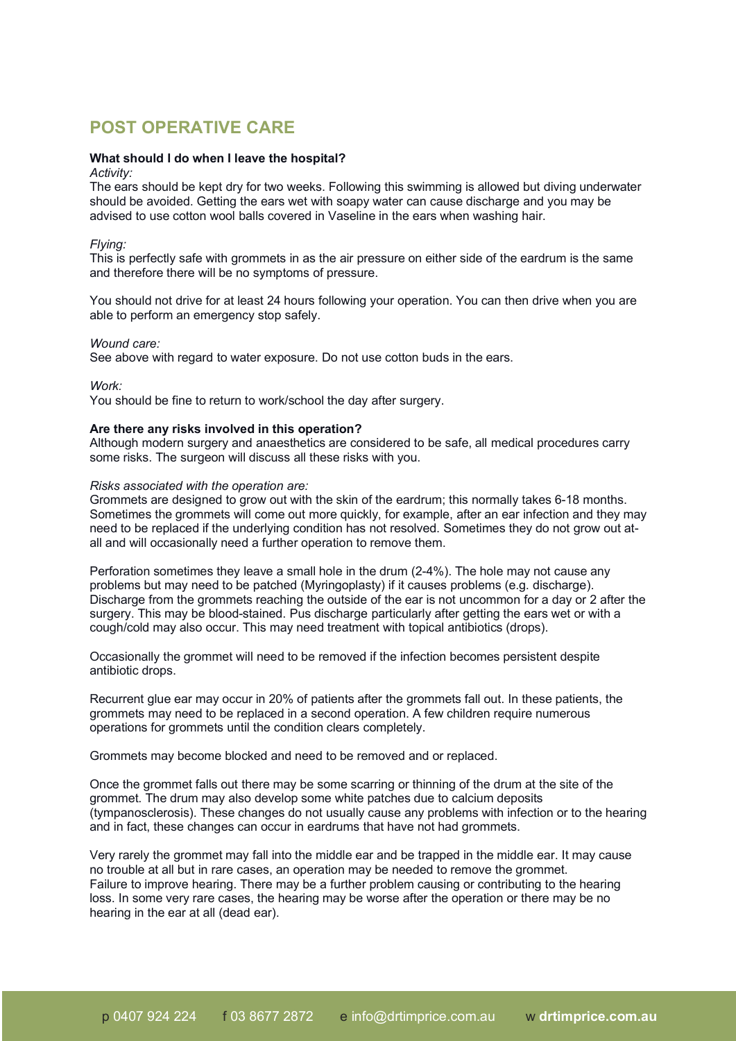# **POST OPERATIVE CARE**

### **What should I do when I leave the hospital?**

### *Activity:*

The ears should be kept dry for two weeks. Following this swimming is allowed but diving underwater should be avoided. Getting the ears wet with soapy water can cause discharge and you may be advised to use cotton wool balls covered in Vaseline in the ears when washing hair.

### *Flying:*

This is perfectly safe with grommets in as the air pressure on either side of the eardrum is the same and therefore there will be no symptoms of pressure.

You should not drive for at least 24 hours following your operation. You can then drive when you are able to perform an emergency stop safely.

### *Wound care:*

See above with regard to water exposure. Do not use cotton buds in the ears.

*Work:*

You should be fine to return to work/school the day after surgery.

### **Are there any risks involved in this operation?**

Although modern surgery and anaesthetics are considered to be safe, all medical procedures carry some risks. The surgeon will discuss all these risks with you.

### *Risks associated with the operation are:*

Grommets are designed to grow out with the skin of the eardrum; this normally takes 6-18 months. Sometimes the grommets will come out more quickly, for example, after an ear infection and they may need to be replaced if the underlying condition has not resolved. Sometimes they do not grow out atall and will occasionally need a further operation to remove them.

Perforation sometimes they leave a small hole in the drum (2-4%). The hole may not cause any problems but may need to be patched (Myringoplasty) if it causes problems (e.g. discharge). Discharge from the grommets reaching the outside of the ear is not uncommon for a day or 2 after the surgery. This may be blood-stained. Pus discharge particularly after getting the ears wet or with a cough/cold may also occur. This may need treatment with topical antibiotics (drops).

Occasionally the grommet will need to be removed if the infection becomes persistent despite antibiotic drops.

Recurrent glue ear may occur in 20% of patients after the grommets fall out. In these patients, the grommets may need to be replaced in a second operation. A few children require numerous operations for grommets until the condition clears completely.

Grommets may become blocked and need to be removed and or replaced.

Once the grommet falls out there may be some scarring or thinning of the drum at the site of the grommet. The drum may also develop some white patches due to calcium deposits (tympanosclerosis). These changes do not usually cause any problems with infection or to the hearing and in fact, these changes can occur in eardrums that have not had grommets.

Very rarely the grommet may fall into the middle ear and be trapped in the middle ear. It may cause no trouble at all but in rare cases, an operation may be needed to remove the grommet. Failure to improve hearing. There may be a further problem causing or contributing to the hearing loss. In some very rare cases, the hearing may be worse after the operation or there may be no hearing in the ear at all (dead ear).